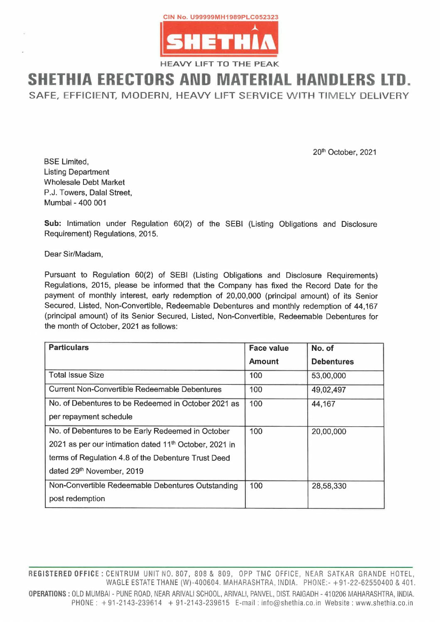

HEAVY LIFT TO THE PEAK

## SHETHIA ERECTORS AND MATERIAL HANDLERS LTD.

SAFE, EFFICIENT, MODERN, HEAVY LIFT SERVICE WITH TIMELY DELIVERY

Pursuant to Regulation 60(2) of SEBI (Listing Obligations and Disclosure Requirements) Regulations, 2015, please be informed that the Company has fixed the Record Date for the payment of monthly interest, early redemption of 20,00,000 (principal amount) of its Senior Secured, Listed, Non-Convertible, Redeemable Debentures and monthly redemption of 44,167 (principal amount) of its Senior Secured, Listed, Non-Convertible, Redeemable Debentures for CIN No. U99999<br>
HEAVY LIFT<br>
HEAVY LIFT<br>
FE, EFFICIENT, MODERN, HEAVY<br>
BSE Limited,<br>
Listing Department<br>
Wholesale Debt Market<br>
Mumbai - 400 001<br>
Sub: Intimation under Regulation 60(2) of the<br>
Mumbai - 400 001<br>
Sub: Intimat the month of October, 2021 as follows: **ETHIA ERECTORS AND**<br>
HEAVY LIFT<br>
FE, EFFICIENT, MODERN, HEAVY LIFT<br>
FE, EFFICIENT, MODERN, HEAVY<br>
BSE Limited,<br>
Listing Department<br>
Wholesale Debt Market<br>
Mumbai - 400 001<br>
Sub: Intimation under Regulation 60(2) of the<br>
R HEAVY LIFT<br>
HEAVY LIFT<br>
FE, EFFICIENT, MODERN, HEAVY<br>
FE, EFFICIENT, MODERN, HEAVY<br>
BSE Limited,<br>
Listing Department<br>
Wholesale Debt Market<br>
Mumbai - 400 001<br>
Sub: Intimation under Regulation 60(2) of the<br>
Requirement) Reg FETHIA ERECTORS AND<br>FE, EFFICIENT, MODERN, HEAVY<br>DESELL ENTERNE CONTROLLER CHEATER CONTROLLER<br>USE Limited,<br>Usting Department<br>Mondesale Debt Market<br>Mumbai - 400 001<br>Sub: Intimation under Regulation 60(2) of the<br>Requirement)

| <b>BSE Limited,</b>                                                                                                                                                                                                                                                                                                               | 20th October, 2021 |                   |  |  |  |
|-----------------------------------------------------------------------------------------------------------------------------------------------------------------------------------------------------------------------------------------------------------------------------------------------------------------------------------|--------------------|-------------------|--|--|--|
| <b>Listing Department</b><br><b>Wholesale Debt Market</b><br>P.J. Towers, Dalal Street,<br>Mumbai - 400 001                                                                                                                                                                                                                       |                    |                   |  |  |  |
| Sub: Intimation under Regulation 60(2) of the SEBI (Listing Obligations and Disclosure<br>Requirement) Regulations, 2015.                                                                                                                                                                                                         |                    |                   |  |  |  |
| Dear Sir/Madam,                                                                                                                                                                                                                                                                                                                   |                    |                   |  |  |  |
| Pursuant to Regulation 60(2) of SEBI (Listing Obligations and Disclosure Requirements)<br>Regulations, 2015, please be informed that the Company has fixed the Record Date for the                                                                                                                                                |                    |                   |  |  |  |
| payment of monthly interest, early redemption of 20,00,000 (principal amount) of its Senior<br>Secured, Listed, Non-Convertible, Redeemable Debentures and monthly redemption of 44,167<br>(principal amount) of its Senior Secured, Listed, Non-Convertible, Redeemable Debentures for<br>the month of October, 2021 as follows: |                    |                   |  |  |  |
| <b>Particulars</b>                                                                                                                                                                                                                                                                                                                | <b>Face value</b>  | No. of            |  |  |  |
|                                                                                                                                                                                                                                                                                                                                   | <b>Amount</b>      | <b>Debentures</b> |  |  |  |
| <b>Total Issue Size</b>                                                                                                                                                                                                                                                                                                           | 100                | 53,00,000         |  |  |  |
| <b>Current Non-Convertible Redeemable Debentures</b>                                                                                                                                                                                                                                                                              | 100                | 49,02,497         |  |  |  |
| No. of Debentures to be Redeemed in October 2021 as                                                                                                                                                                                                                                                                               | 100                | 44,167            |  |  |  |
| per repayment schedule                                                                                                                                                                                                                                                                                                            |                    |                   |  |  |  |
| No. of Debentures to be Early Redeemed in October                                                                                                                                                                                                                                                                                 | 100                | 20,00,000         |  |  |  |
| 2021 as per our intimation dated 11 <sup>th</sup> October, 2021 in                                                                                                                                                                                                                                                                |                    |                   |  |  |  |
| terms of Regulation 4.8 of the Debenture Trust Deed                                                                                                                                                                                                                                                                               |                    |                   |  |  |  |
| dated 29th November, 2019                                                                                                                                                                                                                                                                                                         |                    |                   |  |  |  |
| Non-Convertible Redeemable Debentures Outstanding                                                                                                                                                                                                                                                                                 | 100                | 28,58,330         |  |  |  |

NO. 807, 808 & 1<br>
HANE (W)-400604<br>
EAR ARIVALI SCHOOL<br>
+ 91-2143-2396 WAGLE ESTATE THANE (W)-400604. MAHARASHTRA, INDIA. PHONE:- +91-22-62550400 & 401. OPERATIONS : OLD MUMBAI - PUNE ROAD, NEAR ARIVAL] SCHOOL, ARIVAL!, PANVEL, DIST. RAIGADH - 410206 MAHARASHTRA, INDIA. PHONE: +91-2143-239614 + 91-2143-239615 E-mail: info@shethia.co.in Website : www.shethia.co.in